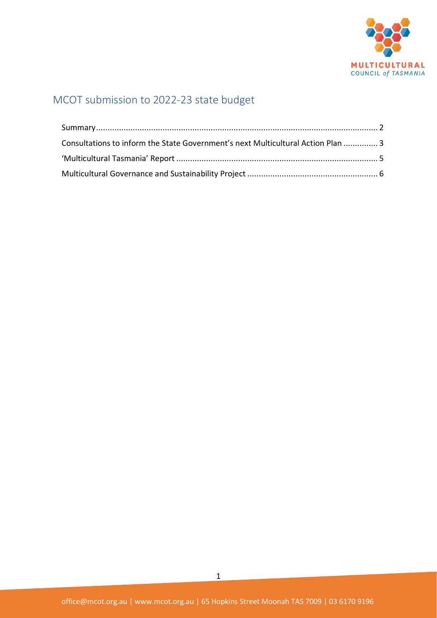

# MCOT submission to 2022-23 state budget

| Consultations to inform the State Government's next Multicultural Action Plan  3 |  |
|----------------------------------------------------------------------------------|--|
|                                                                                  |  |
|                                                                                  |  |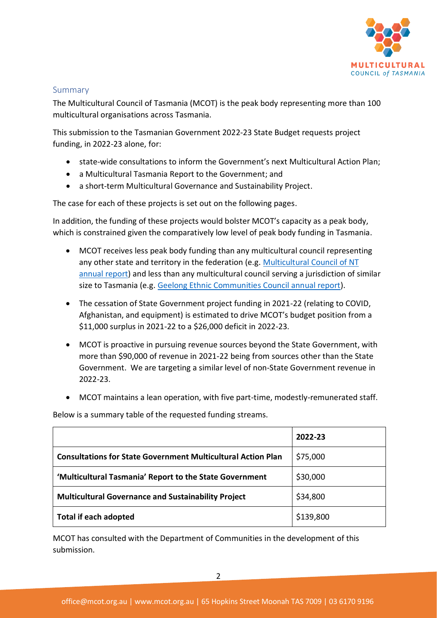

#### <span id="page-1-0"></span>Summary

The Multicultural Council of Tasmania (MCOT) is the peak body representing more than 100 multicultural organisations across Tasmania.

This submission to the Tasmanian Government 2022-23 State Budget requests project funding, in 2022-23 alone, for:

- state-wide consultations to inform the Government's next Multicultural Action Plan;
- a Multicultural Tasmania Report to the Government; and
- a short-term Multicultural Governance and Sustainability Project.

The case for each of these projects is set out on the following pages.

In addition, the funding of these projects would bolster MCOT's capacity as a peak body, which is constrained given the comparatively low level of peak body funding in Tasmania.

- MCOT receives less peak body funding than any multicultural council representing any other state and territory in the federation (e.g. [Multicultural Council of NT](https://irp.cdn-website.com/9d8bf056/files/uploaded/AuditedFinancialReport_2020-21.pdf)  [annual report\)](https://irp.cdn-website.com/9d8bf056/files/uploaded/AuditedFinancialReport_2020-21.pdf) and less than any multicultural council serving a jurisdiction of similar size to Tasmania (e.g. [Geelong Ethnic Communities Council annual report\)](https://diversitat.org.au/wp-content/uploads/2020/11/Diversitat-2019_2020-Annual-Report-1.pdf).
- The cessation of State Government project funding in 2021-22 (relating to COVID, Afghanistan, and equipment) is estimated to drive MCOT's budget position from a \$11,000 surplus in 2021-22 to a \$26,000 deficit in 2022-23.
- MCOT is proactive in pursuing revenue sources beyond the State Government, with more than \$90,000 of revenue in 2021-22 being from sources other than the State Government. We are targeting a similar level of non-State Government revenue in 2022-23.
- MCOT maintains a lean operation, with five part-time, modestly-remunerated staff.

Below is a summary table of the requested funding streams.

|                                                                     | 2022-23   |
|---------------------------------------------------------------------|-----------|
| <b>Consultations for State Government Multicultural Action Plan</b> | \$75,000  |
| 'Multicultural Tasmania' Report to the State Government             | \$30,000  |
| <b>Multicultural Governance and Sustainability Project</b>          | \$34,800  |
| <b>Total if each adopted</b>                                        | \$139,800 |

MCOT has consulted with the Department of Communities in the development of this submission.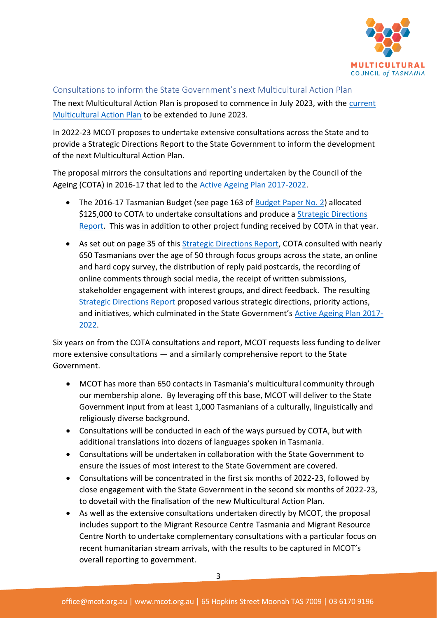

#### <span id="page-2-0"></span>Consultations to inform the State Government's next Multicultural Action Plan

The next Multicultural Action Plan is proposed to commence in July 2023, with the current [Multicultural Action Plan](https://www.communities.tas.gov.au/csr/policy/Policy_Work/our-multicultural-island-tasmanias-multicultural-policy-and-action-plan-2019-2022) to be extended to June 2023.

In 2022-23 MCOT proposes to undertake extensive consultations across the State and to provide a Strategic Directions Report to the State Government to inform the development of the next Multicultural Action Plan.

The proposal mirrors the consultations and reporting undertaken by the Council of the Ageing (COTA) in 2016-17 that led to the [Active Ageing Plan 2017-2022.](https://www.dpac.tas.gov.au/__data/assets/pdf_file/0009/330588/Strong_Liveable_Communities_-_Low_Res.pdf)

- The 2016-17 Tasmanian Budget (see page 163 of [Budget Paper No. 2\)](https://www.treasury.tas.gov.au/Documents/2016-17-Budget-Paper-No-2-Volume-1.pdf) allocated \$125,000 to COTA to undertake consultations and produce a Strategic [Directions](https://www.cotatas.org.au/wp-content/uploads/sites/3/2017/02/Active-Ageing-Plan-Strategic-Directions-Paper-Part-A-FINAL.pdf)  [Report.](https://www.cotatas.org.au/wp-content/uploads/sites/3/2017/02/Active-Ageing-Plan-Strategic-Directions-Paper-Part-A-FINAL.pdf) This was in addition to other project funding received by COTA in that year.
- As set out on page 35 of this [Strategic Directions Report,](https://www.cotatas.org.au/wp-content/uploads/sites/3/2017/02/Active-Ageing-Plan-Strategic-Directions-Paper-Part-A-FINAL.pdf) COTA consulted with nearly 650 Tasmanians over the age of 50 through focus groups across the state, an online and hard copy survey, the distribution of reply paid postcards, the recording of online comments through social media, the receipt of written submissions, stakeholder engagement with interest groups, and direct feedback. The resulting [Strategic Directions Report](https://www.cotatas.org.au/wp-content/uploads/sites/3/2017/02/Active-Ageing-Plan-Strategic-Directions-Paper-Part-A-FINAL.pdf) proposed various strategic directions, priority actions, and initiatives, which culminated in the State Government's [Active Ageing Plan 2017-](https://www.dpac.tas.gov.au/__data/assets/pdf_file/0009/330588/Strong_Liveable_Communities_-_Low_Res.pdf) [2022.](https://www.dpac.tas.gov.au/__data/assets/pdf_file/0009/330588/Strong_Liveable_Communities_-_Low_Res.pdf)

Six years on from the COTA consultations and report, MCOT requests less funding to deliver more extensive consultations — and a similarly comprehensive report to the State Government.

- MCOT has more than 650 contacts in Tasmania's multicultural community through our membership alone. By leveraging off this base, MCOT will deliver to the State Government input from at least 1,000 Tasmanians of a culturally, linguistically and religiously diverse background.
- Consultations will be conducted in each of the ways pursued by COTA, but with additional translations into dozens of languages spoken in Tasmania.
- Consultations will be undertaken in collaboration with the State Government to ensure the issues of most interest to the State Government are covered.
- Consultations will be concentrated in the first six months of 2022-23, followed by close engagement with the State Government in the second six months of 2022-23, to dovetail with the finalisation of the new Multicultural Action Plan.
- As well as the extensive consultations undertaken directly by MCOT, the proposal includes support to the Migrant Resource Centre Tasmania and Migrant Resource Centre North to undertake complementary consultations with a particular focus on recent humanitarian stream arrivals, with the results to be captured in MCOT's overall reporting to government.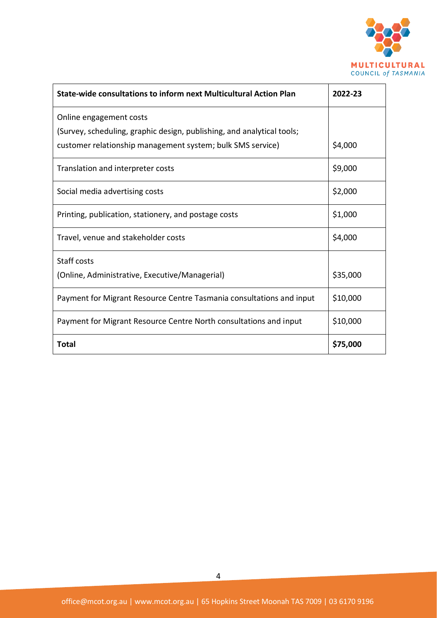

| State-wide consultations to inform next Multicultural Action Plan      | 2022-23  |
|------------------------------------------------------------------------|----------|
| Online engagement costs                                                |          |
| (Survey, scheduling, graphic design, publishing, and analytical tools; |          |
| customer relationship management system; bulk SMS service)             | \$4,000  |
| Translation and interpreter costs                                      | \$9,000  |
| Social media advertising costs                                         | \$2,000  |
| Printing, publication, stationery, and postage costs                   | \$1,000  |
| Travel, venue and stakeholder costs                                    | \$4,000  |
| Staff costs                                                            |          |
| (Online, Administrative, Executive/Managerial)                         | \$35,000 |
| Payment for Migrant Resource Centre Tasmania consultations and input   | \$10,000 |
| Payment for Migrant Resource Centre North consultations and input      | \$10,000 |
| <b>Total</b>                                                           | \$75,000 |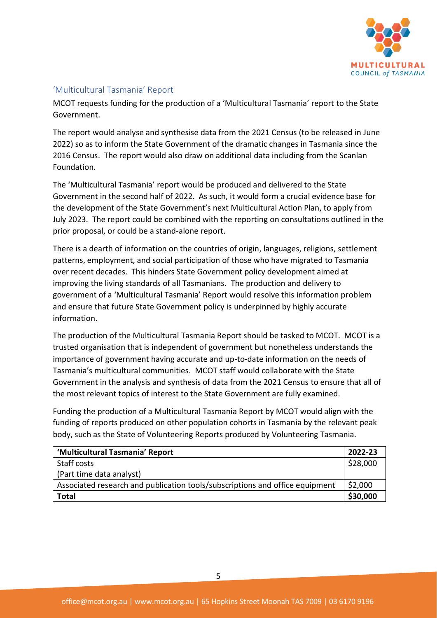

## <span id="page-4-0"></span>'Multicultural Tasmania' Report

MCOT requests funding for the production of a 'Multicultural Tasmania' report to the State Government.

The report would analyse and synthesise data from the 2021 Census (to be released in June 2022) so as to inform the State Government of the dramatic changes in Tasmania since the 2016 Census. The report would also draw on additional data including from the Scanlan Foundation.

The 'Multicultural Tasmania' report would be produced and delivered to the State Government in the second half of 2022. As such, it would form a crucial evidence base for the development of the State Government's next Multicultural Action Plan, to apply from July 2023. The report could be combined with the reporting on consultations outlined in the prior proposal, or could be a stand-alone report.

There is a dearth of information on the countries of origin, languages, religions, settlement patterns, employment, and social participation of those who have migrated to Tasmania over recent decades. This hinders State Government policy development aimed at improving the living standards of all Tasmanians. The production and delivery to government of a 'Multicultural Tasmania' Report would resolve this information problem and ensure that future State Government policy is underpinned by highly accurate information.

The production of the Multicultural Tasmania Report should be tasked to MCOT. MCOT is a trusted organisation that is independent of government but nonetheless understands the importance of government having accurate and up-to-date information on the needs of Tasmania's multicultural communities. MCOT staff would collaborate with the State Government in the analysis and synthesis of data from the 2021 Census to ensure that all of the most relevant topics of interest to the State Government are fully examined.

Funding the production of a Multicultural Tasmania Report by MCOT would align with the funding of reports produced on other population cohorts in Tasmania by the relevant peak body, such as the State of Volunteering Reports produced by Volunteering Tasmania.

| 'Multicultural Tasmania' Report                                              | 2022-23  |
|------------------------------------------------------------------------------|----------|
| Staff costs                                                                  | \$28,000 |
| (Part time data analyst)                                                     |          |
| Associated research and publication tools/subscriptions and office equipment | \$2,000  |
| <b>Total</b>                                                                 | \$30,000 |